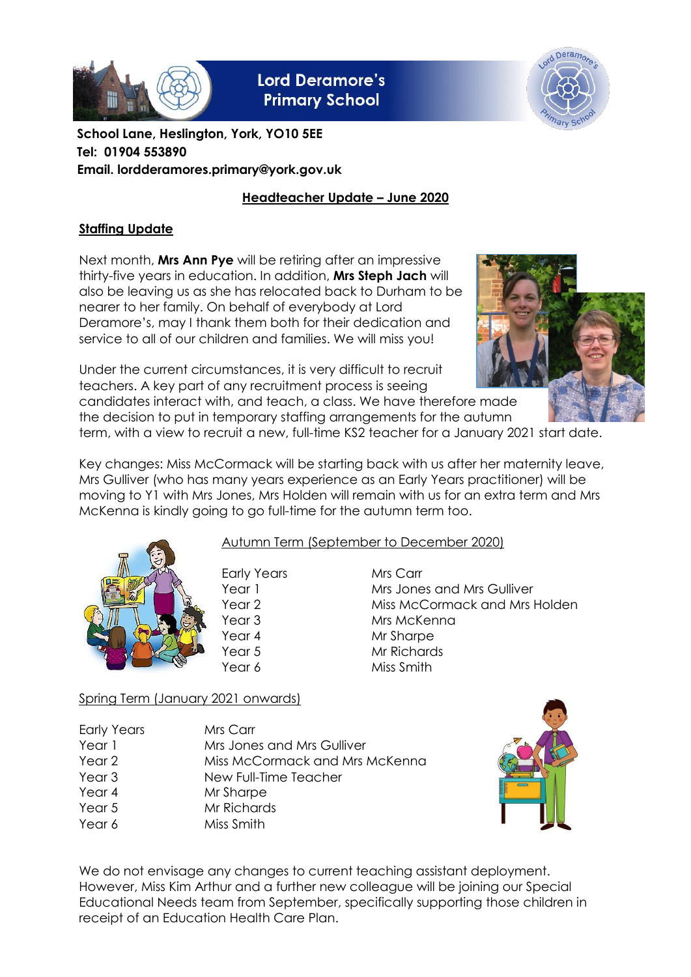

**Lord Deramore's Primary School** 



**School Lane, Heslington, York, YO10 5EE Tel: 01904 553890 Email. lordderamores.primary@york.gov.uk**

# **Headteacher Update – June 2020**

# **Staffing Update**

Next month, **Mrs Ann Pye** will be retiring after an impressive thirty-five years in education. In addition, **Mrs Steph Jach** will also be leaving us as she has relocated back to Durham to be nearer to her family. On behalf of everybody at Lord Deramore's, may I thank them both for their dedication and service to all of our children and families. We will miss you!



Under the current circumstances, it is very difficult to recruit teachers. A key part of any recruitment process is seeing candidates interact with, and teach, a class. We have therefore made the decision to put in temporary staffing arrangements for the autumn

term, with a view to recruit a new, full-time KS2 teacher for a January 2021 start date.

Key changes: Miss McCormack will be starting back with us after her maternity leave, Mrs Gulliver (who has many years experience as an Early Years practitioner) will be moving to Y1 with Mrs Jones, Mrs Holden will remain with us for an extra term and Mrs McKenna is kindly going to go full-time for the autumn term too.



### Autumn Term (September to December 2020)

Early Years Mrs Carr

Year 1 Mrs Jones and Mrs Gulliver Year 2 Miss McCormack and Mrs Holden Year 3 Mrs McKenna Year 4 Mr Sharpe Year 5 Mr Richards Year 6 Miss Smith

# Spring Term (January 2021 onwards)

| <b>Early Years</b> | Mrs Carr                       |
|--------------------|--------------------------------|
| Year 1             | Mrs Jones and Mrs Gulliver     |
| Year 2             | Miss McCormack and Mrs McKenna |
| Year 3             | New Full-Time Teacher          |
| Year 4             | Mr Sharpe                      |
| Year 5             | Mr Richards                    |
| Year 6             | Miss Smith                     |



We do not envisage any changes to current teaching assistant deployment. However, Miss Kim Arthur and a further new colleague will be joining our Special Educational Needs team from September, specifically supporting those children in receipt of an Education Health Care Plan.